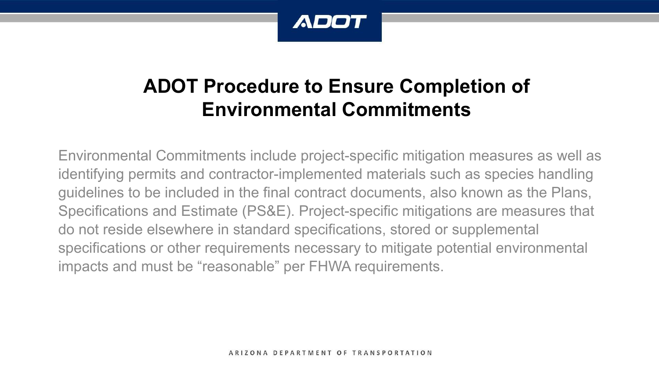

## **ADOT Procedure to Ensure Completion of Environmental Commitments**

Environmental Commitments include project-specific mitigation measures as well as identifying permits and contractor-implemented materials such as species handling guidelines to be included in the final contract documents, also known as the Plans, Specifications and Estimate (PS&E). Project-specific mitigations are measures that do not reside elsewhere in standard specifications, stored or supplemental specifications or other requirements necessary to mitigate potential environmental impacts and must be "reasonable" per FHWA requirements.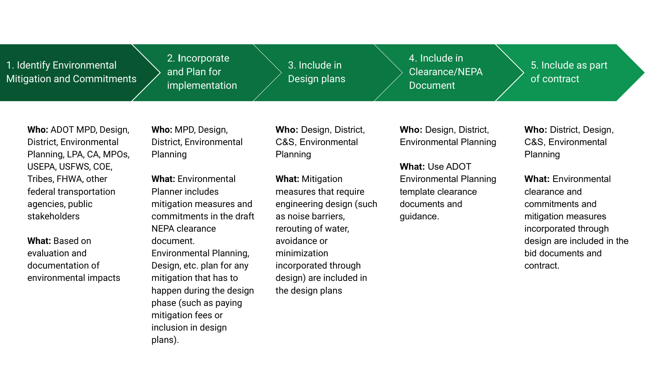1. Identify Environmental Mitigation and Commitments 2. **I**ncorporate and Plan for implementation

3. Include in Design plans 4. Include in Clearance/NEPA Document

5. Include as part of contract

**Who:** ADOT MPD, Design, District, Environmental Planning, LPA, CA, MPOs, USEPA, USFWS, COE, Tribes, FHWA, other federal transportation agencies, public stakeholders

**What:** Based on evaluation and documentation of environmental impacts

**Who:** MPD, Design, District, Environmental Planning

**What:** Environmental Planner includes mitigation measures and commitments in the draft NEPA clearance document. Environmental Planning, Design, etc. plan for any mitigation that has to happen during the design phase (such as paying mitigation fees or inclusion in design plans).

**Who:** Design, District, C&S, Environmental Planning

**What:** Mitigation measures that require engineering design (such as noise barriers, rerouting of water, avoidance or minimization incorporated through design) are included in the design plans

**Who:** Design, District, Environmental Planning

**What:** Use ADOT Environmental Planning template clearance documents and guidance.

**Who:** District, Design, C&S, Environmental Planning

**What:** Environmental clearance and commitments and mitigation measures incorporated through design are included in the bid documents and contract.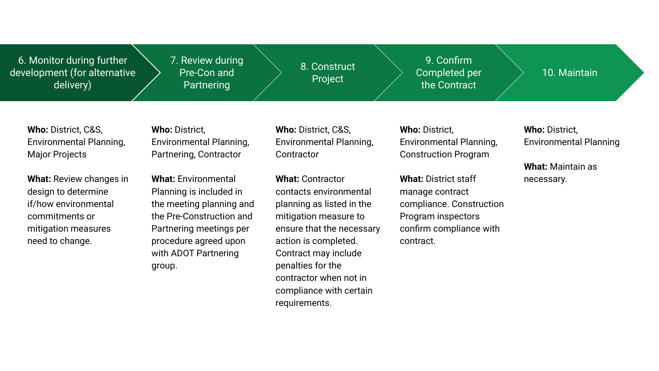6. Monitor during further development (for alternative delivery)

7. Review during Pre-Con and Partnering

8. Construct Project

9. Confirm Completed per the Contract

10. Maintain

**Who:** District, C&S, Environmental Planning, Major Projects

**What:** Review changes in design to determine if/how environmental commitments or mitigation measures need to change.

**Who:** District, Environmental Planning, Partnering, Contractor

**What:** Environmental Planning is included in the meeting planning and the Pre-Construction and Partnering meetings per procedure agreed upon with ADOT Partnering group.

**Who:** District, C&S, Environmental Planning, **Contractor** 

**What:** Contractor contacts environmental planning as listed in the mitigation measure to ensure that the necessary action is completed. Contract may include penalties for the contractor when not in compliance with certain requirements.

**Who:** District, Environmental Planning, Construction Program

**What:** District staff manage contract compliance. Construction Program inspectors confirm compliance with contract.

**Who:** District, Environmental Planning

**What:** Maintain as necessary.